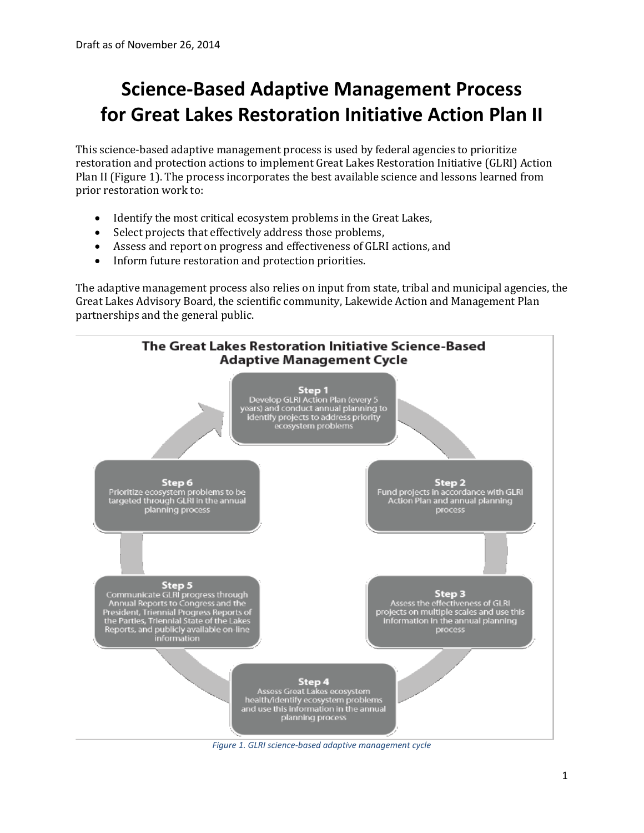# **Science-Based Adaptive Management Process for Great Lakes Restoration Initiative Action Plan II**

This science-based adaptive management process is used by federal agencies to prioritize restoration and protection actions to implement Great Lakes Restoration Initiative (GLRI) Action Plan II (Figure 1). The process incorporates the best available science and lessons learned from prior restoration work to:

- Identify the most critical ecosystem problems in the Great Lakes,
- Select projects that effectively address those problems,
- Assess and report on progress and effectiveness of GLRI actions, and
- Inform future restoration and protection priorities.

The adaptive management process also relies on input from state, tribal and municipal agencies, the Great Lakes Advisory Board, the scientific community, Lakewide Action and Management Plan partnerships and the general public.



*Figure 1. GLRI science-based adaptive management cycle*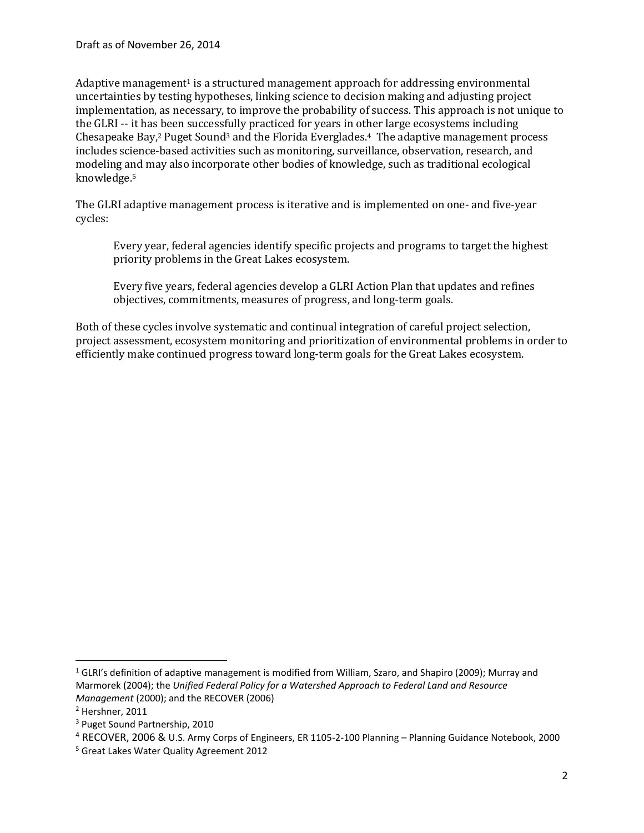Adaptive management<sup>1</sup> is a structured management approach for addressing environmental uncertainties by testing hypotheses, linking science to decision making and adjusting project implementation, as necessary, to improve the probability of success. This approach is not unique to the GLRI -- it has been successfully practiced for years in other large ecosystems including Chesapeake Bay,<sup>2</sup> Puget Sound<sup>3</sup> and the Florida Everglades.<sup>4</sup> The adaptive management process includes science-based activities such as monitoring, surveillance, observation, research, and modeling and may also incorporate other bodies of knowledge, such as traditional ecological knowledge. 5

The GLRI adaptive management process is iterative and is implemented on one- and five-year cycles:

Every year, federal agencies identify specific projects and programs to target the highest priority problems in the Great Lakes ecosystem.

Every five years, federal agencies develop a GLRI Action Plan that updates and refines objectives, commitments, measures of progress, and long-term goals.

Both of these cycles involve systematic and continual integration of careful project selection, project assessment, ecosystem monitoring and prioritization of environmental problems in order to efficiently make continued progress toward long-term goals for the Great Lakes ecosystem.

l

 $1$  GLRI's definition of adaptive management is modified from William, Szaro, and Shapiro (2009); Murray and Marmorek (2004); the *Unified Federal Policy for a Watershed Approach to Federal Land and Resource Management* (2000); and the RECOVER (2006)

<sup>2</sup> Hershner, 2011

<sup>3</sup> Puget Sound Partnership, 2010

<sup>4</sup> RECOVER, 2006 & U.S. Army Corps of Engineers, ER 1105-2-100 Planning – Planning Guidance Notebook, 2000

<sup>5</sup> Great Lakes Water Quality Agreement 2012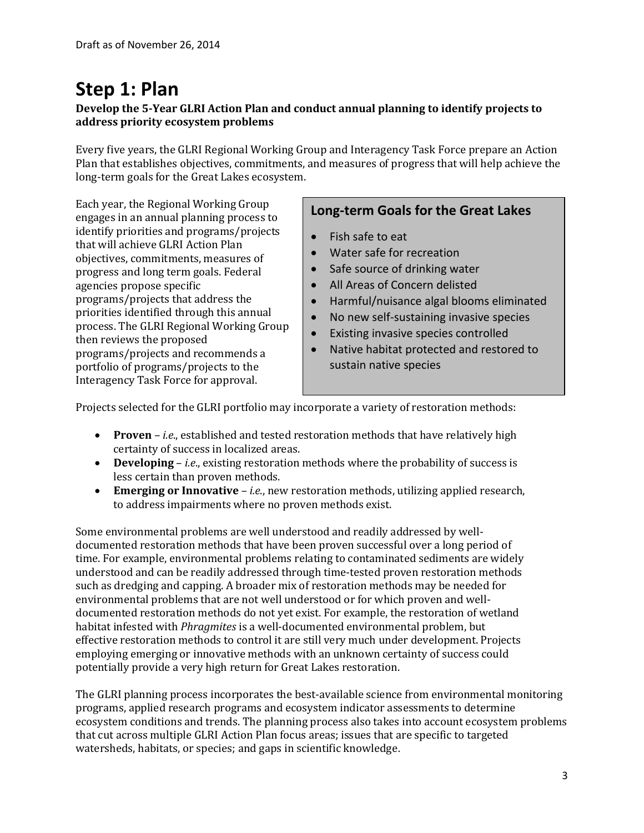## **Step 1: Plan**

## **Develop the 5-Year GLRI Action Plan and conduct annual planning to identify projects to address priority ecosystem problems**

Every five years, the GLRI Regional Working Group and Interagency Task Force prepare an Action Plan that establishes objectives, commitments, and measures of progress that will help achieve the long-term goals for the Great Lakes ecosystem.

Each year, the Regional Working Group engages in an annual planning process to identify priorities and programs/projects that will achieve GLRI Action Plan objectives, commitments, measures of progress and long term goals. Federal agencies propose specific programs/projects that address the priorities identified through this annual process. The GLRI Regional Working Group then reviews the proposed programs/projects and recommends a portfolio of programs/projects to the Interagency Task Force for approval.

## **Long-term Goals for the Great Lakes**

- Fish safe to eat
- Water safe for recreation
- Safe source of drinking water
- All Areas of Concern delisted
- Harmful/nuisance algal blooms eliminated
- No new self-sustaining invasive species
- Existing invasive species controlled
- Native habitat protected and restored to sustain native species

Projects selected for the GLRI portfolio may incorporate a variety of restoration methods:

- **Proven** *– i.e*., established and tested restoration methods that have relatively high certainty of success in localized areas.
- **Developing**  *i.e*., existing restoration methods where the probability of success is less certain than proven methods.
- **Emerging or Innovative** *– i.e*., new restoration methods, utilizing applied research, to address impairments where no proven methods exist.

Some environmental problems are well understood and readily addressed by welldocumented restoration methods that have been proven successful over a long period of time. For example, environmental problems relating to contaminated sediments are widely understood and can be readily addressed through time-tested proven restoration methods such as dredging and capping. A broader mix of restoration methods may be needed for environmental problems that are not well understood or for which proven and welldocumented restoration methods do not yet exist. For example, the restoration of wetland habitat infested with *Phragmites* is a well-documented environmental problem, but effective restoration methods to control it are still very much under development. Projects employing emerging or innovative methods with an unknown certainty of success could potentially provide a very high return for Great Lakes restoration.

The GLRI planning process incorporates the best-available science from environmental monitoring programs, applied research programs and ecosystem indicator assessments to determine ecosystem conditions and trends. The planning process also takes into account ecosystem problems that cut across multiple GLRI Action Plan focus areas; issues that are specific to targeted watersheds, habitats, or species; and gaps in scientific knowledge.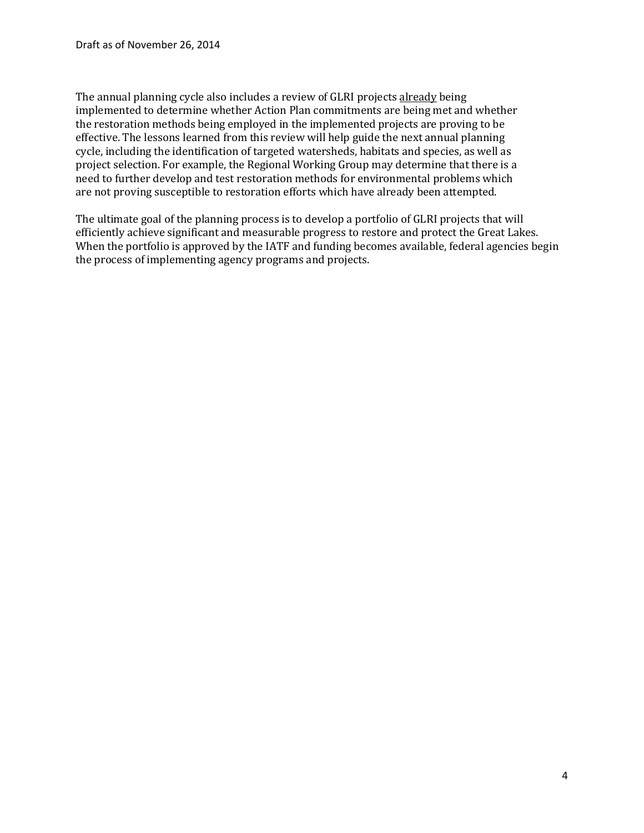The annual planning cycle also includes a review of GLRI projects already being implemented to determine whether Action Plan commitments are being met and whether the restoration methods being employed in the implemented projects are proving to be effective. The lessons learned from this review will help guide the next annual planning cycle, including the identification of targeted watersheds, habitats and species, as well as project selection. For example, the Regional Working Group may determine that there is a need to further develop and test restoration methods for environmental problems which are not proving susceptible to restoration efforts which have already been attempted.

The ultimate goal of the planning process is to develop a portfolio of GLRI projects that will efficiently achieve significant and measurable progress to restore and protect the Great Lakes. When the portfolio is approved by the IATF and funding becomes available, federal agencies begin the process of implementing agency programs and projects.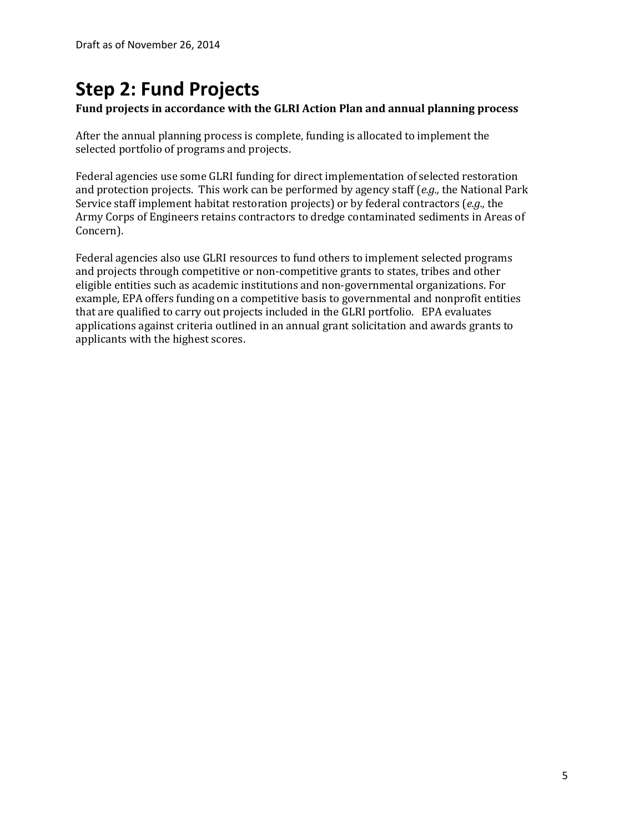# **Step 2: Fund Projects**

## **Fund projects in accordance with the GLRI Action Plan and annual planning process**

After the annual planning process is complete, funding is allocated to implement the selected portfolio of programs and projects.

Federal agencies use some GLRI funding for direct implementation of selected restoration and protection projects. This work can be performed by agency staff (*e.g.,* the National Park Service staff implement habitat restoration projects) or by federal contractors (*e.g.,* the Army Corps of Engineers retains contractors to dredge contaminated sediments in Areas of Concern).

Federal agencies also use GLRI resources to fund others to implement selected programs and projects through competitive or non-competitive grants to states, tribes and other eligible entities such as academic institutions and non-governmental organizations. For example, EPA offers funding on a competitive basis to governmental and nonprofit entities that are qualified to carry out projects included in the GLRI portfolio. EPA evaluates applications against criteria outlined in an annual grant solicitation and awards grants to applicants with the highest scores.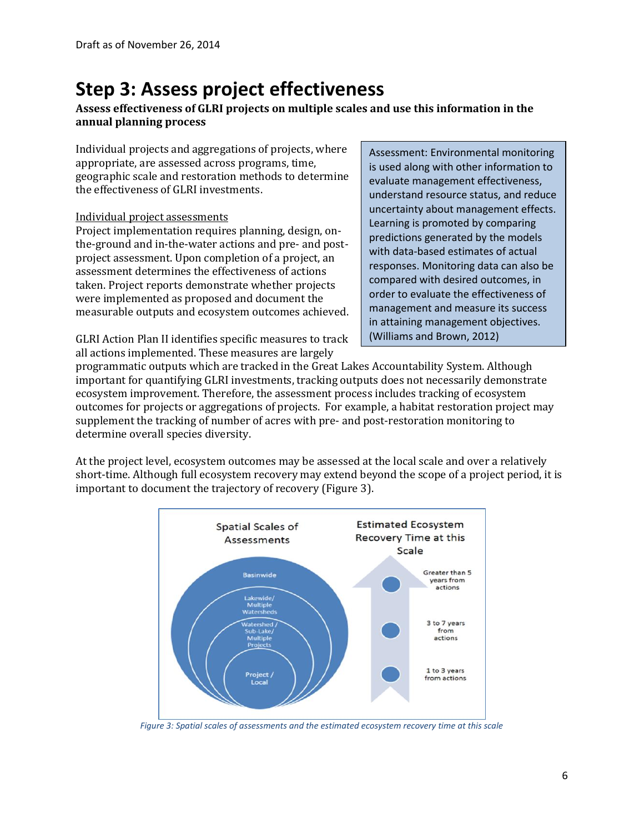## **Step 3: Assess project effectiveness**

## **Assess effectiveness of GLRI projects on multiple scales and use this information in the annual planning process**

Individual projects and aggregations of projects, where appropriate, are assessed across programs, time, geographic scale and restoration methods to determine the effectiveness of GLRI investments.

#### Individual project assessments

Project implementation requires planning, design, onthe-ground and in-the-water actions and pre- and postproject assessment. Upon completion of a project, an assessment determines the effectiveness of actions taken. Project reports demonstrate whether projects were implemented as proposed and document the measurable outputs and ecosystem outcomes achieved.

GLRI Action Plan II identifies specific measures to track all actions implemented. These measures are largely

Assessment: Environmental monitoring is used along with other information to evaluate management effectiveness, understand resource status, and reduce uncertainty about management effects. Learning is promoted by comparing predictions generated by the models with data-based estimates of actual responses. Monitoring data can also be compared with desired outcomes, in order to evaluate the effectiveness of management and measure its success in attaining management objectives. (Williams and Brown, 2012)

programmatic outputs which are tracked in the Great Lakes Accountability System. Although important for quantifying GLRI investments, tracking outputs does not necessarily demonstrate ecosystem improvement. Therefore, the assessment process includes tracking of ecosystem outcomes for projects or aggregations of projects. For example, a habitat restoration project may supplement the tracking of number of acres with pre- and post-restoration monitoring to determine overall species diversity.

At the project level, ecosystem outcomes may be assessed at the local scale and over a relatively short-time. Although full ecosystem recovery may extend beyond the scope of a project period, it is important to document the trajectory of recovery (Figure 3).



*Figure 3: Spatial scales of assessments and the estimated ecosystem recovery time at this scale*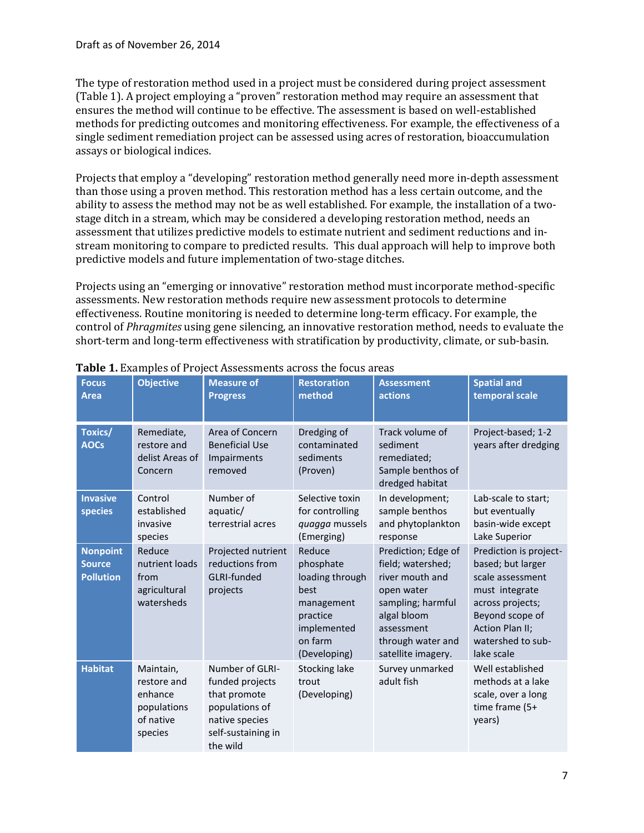The type of restoration method used in a project must be considered during project assessment (Table 1). A project employing a "proven" restoration method may require an assessment that ensures the method will continue to be effective. The assessment is based on well-established methods for predicting outcomes and monitoring effectiveness. For example, the effectiveness of a single sediment remediation project can be assessed using acres of restoration, bioaccumulation assays or biological indices.

Projects that employ a "developing" restoration method generally need more in-depth assessment than those using a proven method. This restoration method has a less certain outcome, and the ability to assess the method may not be as well established. For example, the installation of a twostage ditch in a stream, which may be considered a developing restoration method, needs an assessment that utilizes predictive models to estimate nutrient and sediment reductions and instream monitoring to compare to predicted results. This dual approach will help to improve both predictive models and future implementation of two-stage ditches.

Projects using an "emerging or innovative" restoration method must incorporate method-specific assessments. New restoration methods require new assessment protocols to determine effectiveness. Routine monitoring is needed to determine long-term efficacy. For example, the control of *Phragmites* using gene silencing, an innovative restoration method, needs to evaluate the short-term and long-term effectiveness with stratification by productivity, climate, or sub-basin.

| <b>Focus</b><br><b>Area</b>                          | <b>Objective</b>                                                           | <b>Measure of</b><br><b>Progress</b>                                                                                     | <b>Restoration</b><br>method                                                                                       | <b>Assessment</b><br>actions                                                                                                                                           | <b>Spatial and</b><br>temporal scale                                                                                                                                                  |
|------------------------------------------------------|----------------------------------------------------------------------------|--------------------------------------------------------------------------------------------------------------------------|--------------------------------------------------------------------------------------------------------------------|------------------------------------------------------------------------------------------------------------------------------------------------------------------------|---------------------------------------------------------------------------------------------------------------------------------------------------------------------------------------|
| <b>Toxics/</b><br><b>AOCs</b>                        | Remediate,<br>restore and<br>delist Areas of<br>Concern                    | Area of Concern<br><b>Beneficial Use</b><br>Impairments<br>removed                                                       | Dredging of<br>contaminated<br>sediments<br>(Proven)                                                               | Track volume of<br>sediment<br>remediated;<br>Sample benthos of<br>dredged habitat                                                                                     | Project-based; 1-2<br>years after dredging                                                                                                                                            |
| <b>Invasive</b><br>species                           | Control<br>established<br>invasive<br>species                              | Number of<br>aquatic/<br>terrestrial acres                                                                               | Selective toxin<br>for controlling<br>quagga mussels<br>(Emerging)                                                 | In development;<br>sample benthos<br>and phytoplankton<br>response                                                                                                     | Lab-scale to start;<br>but eventually<br>basin-wide except<br>Lake Superior                                                                                                           |
| <b>Nonpoint</b><br><b>Source</b><br><b>Pollution</b> | Reduce<br>nutrient loads<br>from<br>agricultural<br>watersheds             | Projected nutrient<br>reductions from<br>GLRI-funded<br>projects                                                         | Reduce<br>phosphate<br>loading through<br>best<br>management<br>practice<br>implemented<br>on farm<br>(Developing) | Prediction; Edge of<br>field; watershed;<br>river mouth and<br>open water<br>sampling; harmful<br>algal bloom<br>assessment<br>through water and<br>satellite imagery. | Prediction is project-<br>based; but larger<br>scale assessment<br>must integrate<br>across projects;<br>Beyond scope of<br><b>Action Plan II;</b><br>watershed to sub-<br>lake scale |
| <b>Habitat</b>                                       | Maintain,<br>restore and<br>enhance<br>populations<br>of native<br>species | Number of GLRI-<br>funded projects<br>that promote<br>populations of<br>native species<br>self-sustaining in<br>the wild | <b>Stocking lake</b><br>trout<br>(Developing)                                                                      | Survey unmarked<br>adult fish                                                                                                                                          | Well established<br>methods at a lake<br>scale, over a long<br>time frame (5+<br>years)                                                                                               |

**Table 1.** Examples of Project Assessments across the focus areas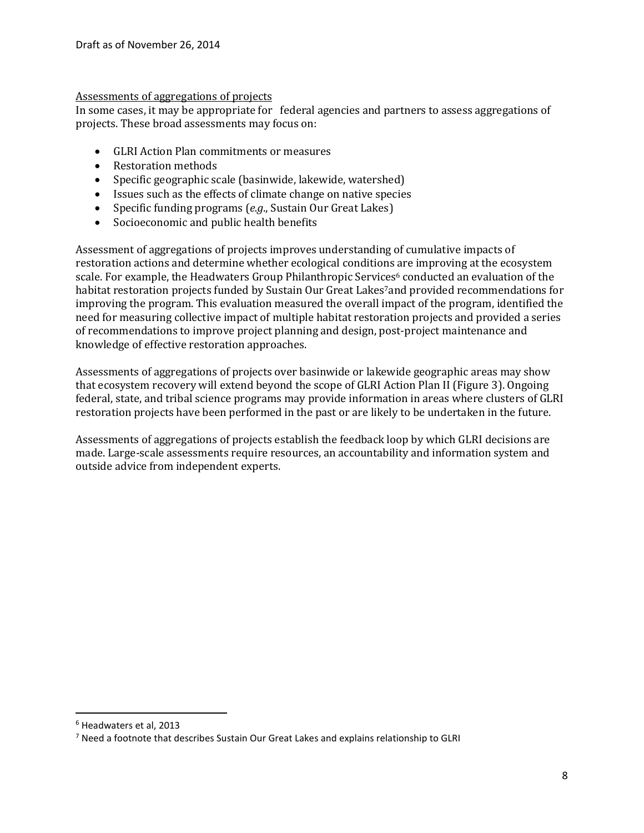#### Assessments of aggregations of projects

In some cases, it may be appropriate for federal agencies and partners to assess aggregations of projects. These broad assessments may focus on:

- GLRI Action Plan commitments or measures
- Restoration methods
- Specific geographic scale (basinwide, lakewide, watershed)
- Issues such as the effects of climate change on native species
- Specific funding programs (*e.g*., Sustain Our Great Lakes)
- Socioeconomic and public health benefits

Assessment of aggregations of projects improves understanding of cumulative impacts of restoration actions and determine whether ecological conditions are improving at the ecosystem scale. For example, the Headwaters Group Philanthropic Services<sup>6</sup> conducted an evaluation of the habitat restoration projects funded by Sustain Our Great Lakes7and provided recommendations for improving the program. This evaluation measured the overall impact of the program, identified the need for measuring collective impact of multiple habitat restoration projects and provided a series of recommendations to improve project planning and design, post-project maintenance and knowledge of effective restoration approaches.

Assessments of aggregations of projects over basinwide or lakewide geographic areas may show that ecosystem recovery will extend beyond the scope of GLRI Action Plan II (Figure 3). Ongoing federal, state, and tribal science programs may provide information in areas where clusters of GLRI restoration projects have been performed in the past or are likely to be undertaken in the future.

Assessments of aggregations of projects establish the feedback loop by which GLRI decisions are made. Large-scale assessments require resources, an accountability and information system and outside advice from independent experts.

 $\overline{\phantom{a}}$ 

<sup>6</sup> Headwaters et al, 2013

 $7$  Need a footnote that describes Sustain Our Great Lakes and explains relationship to GLRI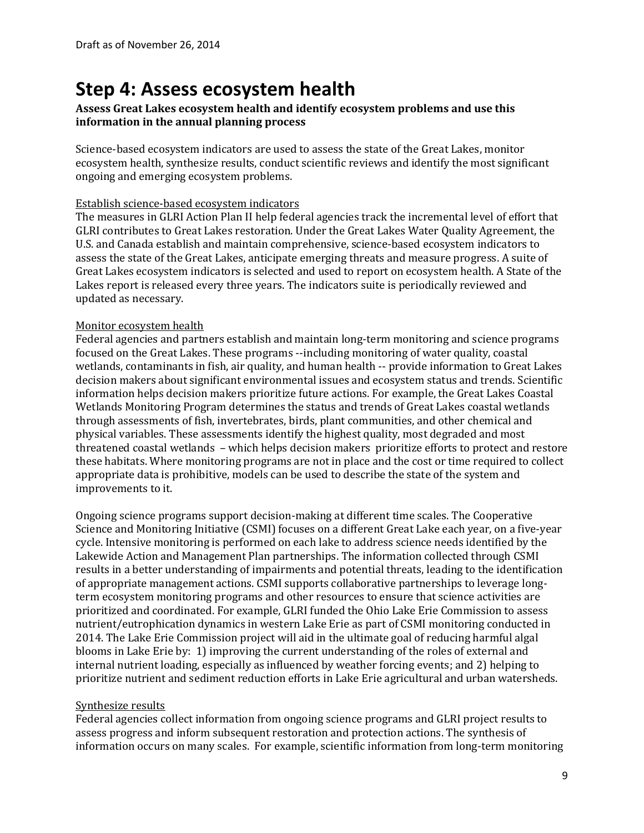## **Step 4: Assess ecosystem health**

#### **Assess Great Lakes ecosystem health and identify ecosystem problems and use this information in the annual planning process**

Science-based ecosystem indicators are used to assess the state of the Great Lakes, monitor ecosystem health, synthesize results, conduct scientific reviews and identify the most significant ongoing and emerging ecosystem problems.

#### Establish science-based ecosystem indicators

The measures in GLRI Action Plan II help federal agencies track the incremental level of effort that GLRI contributes to Great Lakes restoration. Under the Great Lakes Water Quality Agreement, the U.S. and Canada establish and maintain comprehensive, science-based ecosystem indicators to assess the state of the Great Lakes, anticipate emerging threats and measure progress. A suite of Great Lakes ecosystem indicators is selected and used to report on ecosystem health. A State of the Lakes report is released every three years. The indicators suite is periodically reviewed and updated as necessary.

#### Monitor ecosystem health

Federal agencies and partners establish and maintain long-term monitoring and science programs focused on the Great Lakes. These programs --including monitoring of water quality, coastal wetlands, contaminants in fish, air quality, and human health -- provide information to Great Lakes decision makers about significant environmental issues and ecosystem status and trends. Scientific information helps decision makers prioritize future actions. For example, the Great Lakes Coastal Wetlands Monitoring Program determines the status and trends of Great Lakes coastal wetlands through assessments of fish, invertebrates, birds, plant communities, and other chemical and physical variables. These assessments identify the highest quality, most degraded and most threatened coastal wetlands – which helps decision makers prioritize efforts to protect and restore these habitats. Where monitoring programs are not in place and the cost or time required to collect appropriate data is prohibitive, models can be used to describe the state of the system and improvements to it.

Ongoing science programs support decision-making at different time scales. The Cooperative Science and Monitoring Initiative (CSMI) focuses on a different Great Lake each year, on a five-year cycle. Intensive monitoring is performed on each lake to address science needs identified by the Lakewide Action and Management Plan partnerships. The information collected through CSMI results in a better understanding of impairments and potential threats, leading to the identification of appropriate management actions. CSMI supports collaborative partnerships to leverage longterm ecosystem monitoring programs and other resources to ensure that science activities are prioritized and coordinated. For example, GLRI funded the Ohio Lake Erie Commission to assess nutrient/eutrophication dynamics in western Lake Erie as part of CSMI monitoring conducted in 2014. The Lake Erie Commission project will aid in the ultimate goal of reducing harmful algal blooms in Lake Erie by: 1) improving the current understanding of the roles of external and internal nutrient loading, especially as influenced by weather forcing events; and 2) helping to prioritize nutrient and sediment reduction efforts in Lake Erie agricultural and urban watersheds.

#### Synthesize results

Federal agencies collect information from ongoing science programs and GLRI project results to assess progress and inform subsequent restoration and protection actions. The synthesis of information occurs on many scales. For example, scientific information from long-term monitoring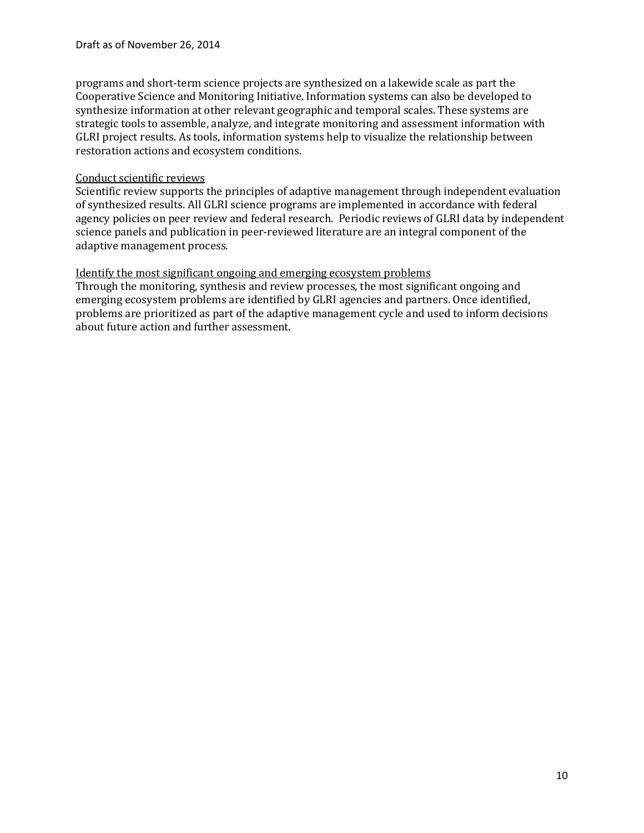programs and short-term science projects are synthesized on a lakewide scale as part the Cooperative Science and Monitoring Initiative. Information systems can also be developed to synthesize information at other relevant geographic and temporal scales. These systems are strategic tools to assemble, analyze, and integrate monitoring and assessment information with GLRI project results. As tools, information systems help to visualize the relationship between restoration actions and ecosystem conditions.

#### Conduct scientific reviews

Scientific review supports the principles of adaptive management through independent evaluation of synthesized results. All GLRI science programs are implemented in accordance with federal agency policies on peer review and federal research. Periodic reviews of GLRI data by independent science panels and publication in peer-reviewed literature are an integral component of the adaptive management process.

#### Identify the most significant ongoing and emerging ecosystem problems

Through the monitoring, synthesis and review processes, the most significant ongoing and emerging ecosystem problems are identified by GLRI agencies and partners. Once identified, problems are prioritized as part of the adaptive management cycle and used to inform decisions about future action and further assessment.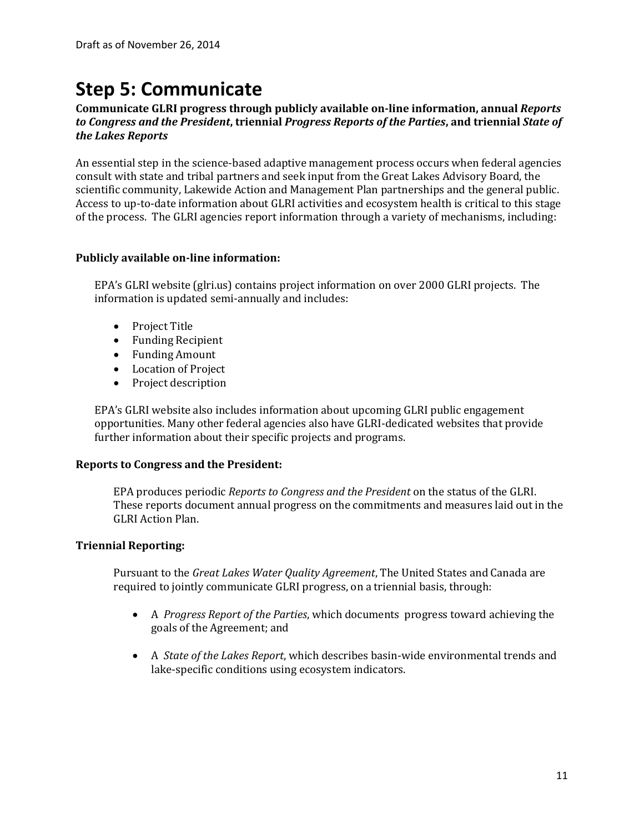## **Step 5: Communicate**

## **Communicate GLRI progress through publicly available on-line information, annual** *Reports to Congress and the President***, triennial** *Progress Reports of the Parties***, and triennial** *State of the Lakes Reports*

An essential step in the science-based adaptive management process occurs when federal agencies consult with state and tribal partners and seek input from the Great Lakes Advisory Board, the scientific community, Lakewide Action and Management Plan partnerships and the general public. Access to up-to-date information about GLRI activities and ecosystem health is critical to this stage of the process. The GLRI agencies report information through a variety of mechanisms, including:

## **Publicly available on-line information:**

EPA's GLRI website (glri.us) contains project information on over 2000 GLRI projects. The information is updated semi-annually and includes:

- Project Title
- Funding Recipient
- Funding Amount
- Location of Project
- Project description

EPA's GLRI website also includes information about upcoming GLRI public engagement opportunities. Many other federal agencies also have GLRI-dedicated websites that provide further information about their specific projects and programs.

## **Reports to Congress and the President:**

EPA produces periodic *Reports to Congress and the President* on the status of the GLRI. These reports document annual progress on the commitments and measures laid out in the GLRI Action Plan.

## **Triennial Reporting:**

Pursuant to the *Great Lakes Water Quality Agreement*, The United States and Canada are required to jointly communicate GLRI progress, on a triennial basis, through:

- A *Progress Report of the Parties*, which documents progress toward achieving the goals of the Agreement; and
- A *State of the Lakes Report*, which describes basin-wide environmental trends and lake-specific conditions using ecosystem indicators.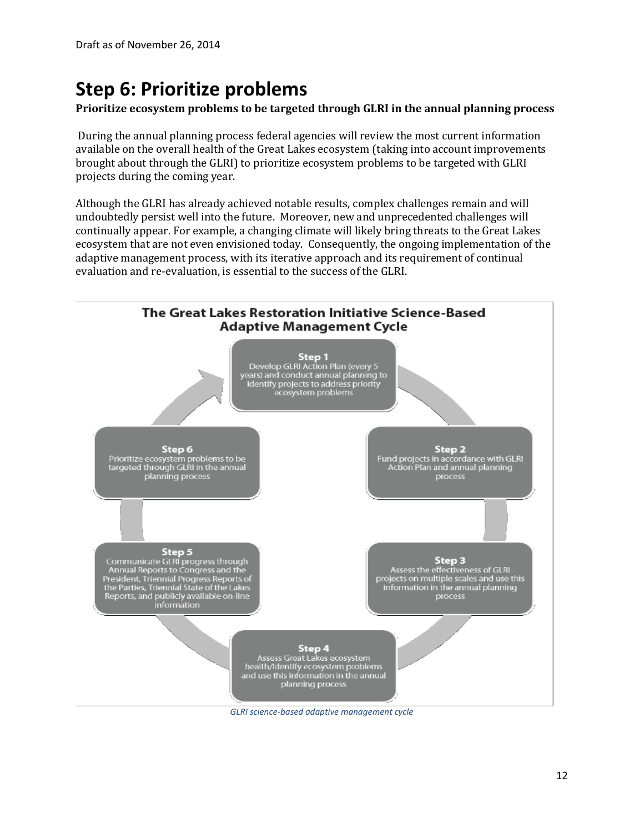# **Step 6: Prioritize problems**

## **Prioritize ecosystem problems to be targeted through GLRI in the annual planning process**

During the annual planning process federal agencies will review the most current information available on the overall health of the Great Lakes ecosystem (taking into account improvements brought about through the GLRI) to prioritize ecosystem problems to be targeted with GLRI projects during the coming year.

Although the GLRI has already achieved notable results, complex challenges remain and will undoubtedly persist well into the future. Moreover, new and unprecedented challenges will continually appear. For example, a changing climate will likely bring threats to the Great Lakes ecosystem that are not even envisioned today. Consequently, the ongoing implementation of the adaptive management process, with its iterative approach and its requirement of continual evaluation and re-evaluation, is essential to the success of the GLRI.



*GLRI science-based adaptive management cycle*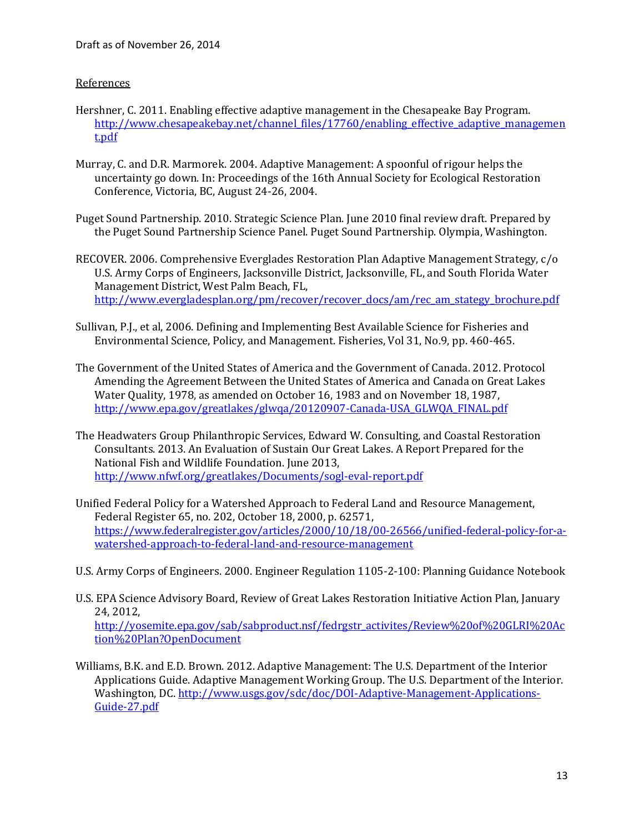#### References

- Hershner, C. 2011. Enabling effective adaptive management in the Chesapeake Bay Program. [http://www.chesapeakebay.net/channel\\_files/17760/enabling\\_effective\\_adaptive\\_managemen](http://www.chesapeakebay.net/channel_files/17760/enabling_effective_adaptive_management.pdf) [t.pdf](http://www.chesapeakebay.net/channel_files/17760/enabling_effective_adaptive_management.pdf)
- Murray, C. and D.R. Marmorek. 2004. Adaptive Management: A spoonful of rigour helps the uncertainty go down. In: Proceedings of the 16th Annual Society for Ecological Restoration Conference, Victoria, BC, August 24-26, 2004.
- Puget Sound Partnership. 2010. Strategic Science Plan. June 2010 final review draft. Prepared by the Puget Sound Partnership Science Panel. Puget Sound Partnership. Olympia, Washington.
- RECOVER. 2006. Comprehensive Everglades Restoration Plan Adaptive Management Strategy, c/o U.S. Army Corps of Engineers, Jacksonville District, Jacksonville, FL, and South Florida Water Management District, West Palm Beach, FL, [http://www.evergladesplan.org/pm/recover/recover\\_docs/am/rec\\_am\\_stategy\\_brochure.pdf](http://www.evergladesplan.org/pm/recover/recover_docs/am/rec_am_stategy_brochure.pdf)
- Sullivan, P.J., et al, 2006. Defining and Implementing Best Available Science for Fisheries and Environmental Science, Policy, and Management. Fisheries, Vol 31, No.9, pp. 460-465.
- The Government of the United States of America and the Government of Canada. 2012. Protocol Amending the Agreement Between the United States of America and Canada on Great Lakes Water Quality, 1978, as amended on October 16, 1983 and on November 18, 1987, [http://www.epa.gov/greatlakes/glwqa/20120907-Canada-USA\\_GLWQA\\_FINAL.pdf](http://www.epa.gov/greatlakes/glwqa/20120907-Canada-USA_GLWQA_FINAL.pdf)
- The Headwaters Group Philanthropic Services, Edward W. Consulting, and Coastal Restoration Consultants. 2013. An Evaluation of Sustain Our Great Lakes. A Report Prepared for the National Fish and Wildlife Foundation. June 2013, <http://www.nfwf.org/greatlakes/Documents/sogl-eval-report.pdf>
- Unified Federal Policy for a Watershed Approach to Federal Land and Resource Management, Federal Register 65, no. 202, October 18, 2000, p. 62571, [https://www.federalregister.gov/articles/2000/10/18/00-26566/unified-federal-policy-for-a](https://www.federalregister.gov/articles/2000/10/18/00-26566/unified-federal-policy-for-a-watershed-approach-to-federal-land-and-resource-management)[watershed-approach-to-federal-land-and-resource-management](https://www.federalregister.gov/articles/2000/10/18/00-26566/unified-federal-policy-for-a-watershed-approach-to-federal-land-and-resource-management)
- U.S. Army Corps of Engineers. 2000. Engineer Regulation 1105-2-100: Planning Guidance Notebook
- U.S. EPA Science Advisory Board, Review of Great Lakes Restoration Initiative Action Plan, January 24, 2012, [http://yosemite.epa.gov/sab/sabproduct.nsf/fedrgstr\\_activites/Review%20of%20GLRI%20Ac](http://yosemite.epa.gov/sab/sabproduct.nsf/fedrgstr_activites/Review%20of%20GLRI%20Action%20Plan?OpenDocument) [tion%20Plan?OpenDocument](http://yosemite.epa.gov/sab/sabproduct.nsf/fedrgstr_activites/Review%20of%20GLRI%20Action%20Plan?OpenDocument)
- Williams, B.K. and E.D. Brown. 2012. Adaptive Management: The U.S. Department of the Interior Applications Guide. Adaptive Management Working Group. The U.S. Department of the Interior. Washington, DC[. http://www.usgs.gov/sdc/doc/DOI-Adaptive-Management-Applications-](http://www.usgs.gov/sdc/doc/DOI-Adaptive-Management-Applications-Guide-27.pdf)[Guide-27.pdf](http://www.usgs.gov/sdc/doc/DOI-Adaptive-Management-Applications-Guide-27.pdf)